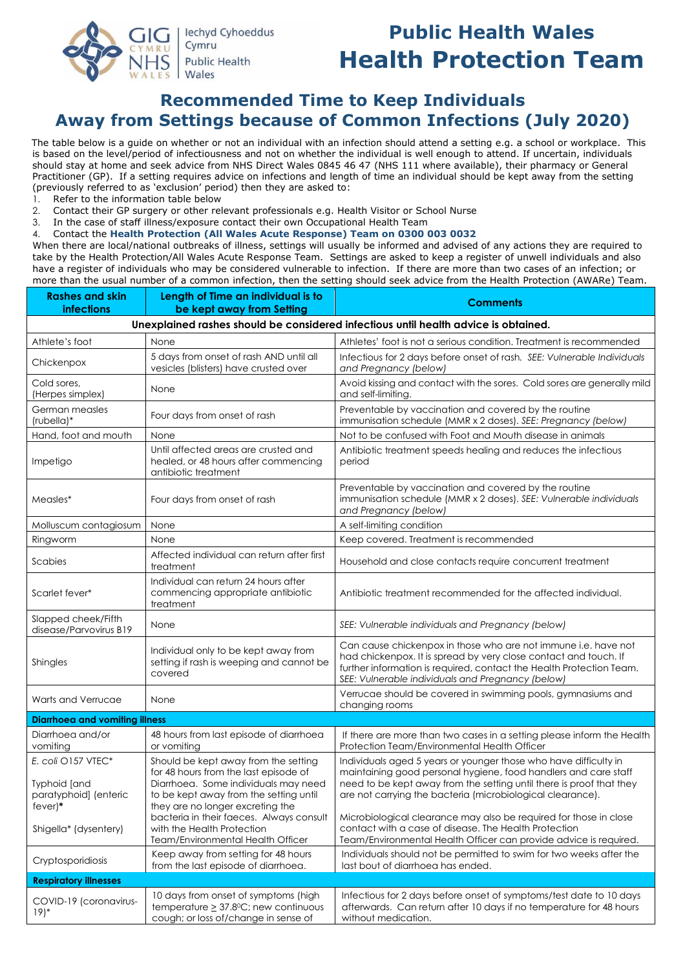

# **Public Health Wales Health Protection Team**

## **Recommended Time to Keep Individuals Away from Settings because of Common Infections (July 2020)**

The table below is a guide on whether or not an individual with an infection should attend a setting e.g. a school or workplace. This is based on the level/period of infectiousness and not on whether the individual is well enough to attend. If uncertain, individuals should stay at home and seek advice from NHS Direct Wales 0845 46 47 (NHS 111 where available), their pharmacy or General Practitioner (GP). If a setting requires advice on infections and length of time an individual should be kept away from the setting (previously referred to as 'exclusion' period) then they are asked to:

1. Refer to the information table below

2. Contact their GP surgery or other relevant professionals e.g. Health Visitor or School Nurse

3. In the case of staff illness/exposure contact their own Occupational Health Team

4. Contact the **Health Protection (All Wales Acute Response) Team on 0300 003 0032**

When there are local/national outbreaks of illness, settings will usually be informed and advised of any actions they are required to take by the Health Protection/All Wales Acute Response Team. Settings are asked to keep a register of unwell individuals and also have a register of individuals who may be considered vulnerable to infection. If there are more than two cases of an infection; or more than the usual number of a common infection, then the setting should seek advice from the Health Protection (AWARe) Team.

| <b>Rashes and skin</b><br><b>infections</b>                                         | Length of Time an individual is to<br>be kept away from Setting                                                                                                                                                                                 | <b>Comments</b>                                                                                                                                                                                                                                                                                                                                |  |
|-------------------------------------------------------------------------------------|-------------------------------------------------------------------------------------------------------------------------------------------------------------------------------------------------------------------------------------------------|------------------------------------------------------------------------------------------------------------------------------------------------------------------------------------------------------------------------------------------------------------------------------------------------------------------------------------------------|--|
| Unexplained rashes should be considered infectious until health advice is obtained. |                                                                                                                                                                                                                                                 |                                                                                                                                                                                                                                                                                                                                                |  |
| Athlete's foot                                                                      | None                                                                                                                                                                                                                                            | Athletes' foot is not a serious condition. Treatment is recommended                                                                                                                                                                                                                                                                            |  |
| Chickenpox                                                                          | 5 days from onset of rash AND until all<br>vesicles (blisters) have crusted over                                                                                                                                                                | Infectious for 2 days before onset of rash. SEE: Vulnerable Individuals<br>and Pregnancy (below)                                                                                                                                                                                                                                               |  |
| Cold sores,<br>(Herpes simplex)                                                     | None                                                                                                                                                                                                                                            | Avoid kissing and contact with the sores. Cold sores are generally mild<br>and self-limiting.                                                                                                                                                                                                                                                  |  |
| German measles<br>(rubella)*                                                        | Four days from onset of rash                                                                                                                                                                                                                    | Preventable by vaccination and covered by the routine<br>immunisation schedule (MMR x 2 doses). SEE: Pregnancy (below)                                                                                                                                                                                                                         |  |
| Hand, foot and mouth                                                                | None                                                                                                                                                                                                                                            | Not to be confused with Foot and Mouth disease in animals                                                                                                                                                                                                                                                                                      |  |
| Impetigo                                                                            | Until affected areas are crusted and<br>healed, or 48 hours after commencing<br>antibiotic treatment                                                                                                                                            | Antibiotic treatment speeds healing and reduces the infectious<br>period                                                                                                                                                                                                                                                                       |  |
| Measles*                                                                            | Four days from onset of rash                                                                                                                                                                                                                    | Preventable by vaccination and covered by the routine<br>immunisation schedule (MMR x 2 doses). SEE: Vulnerable individuals<br>and Pregnancy (below)                                                                                                                                                                                           |  |
| Molluscum contagiosum                                                               | None                                                                                                                                                                                                                                            | A self-limiting condition                                                                                                                                                                                                                                                                                                                      |  |
| Ringworm                                                                            | None                                                                                                                                                                                                                                            | Keep covered. Treatment is recommended                                                                                                                                                                                                                                                                                                         |  |
| Scabies                                                                             | Affected individual can return after first<br>treatment                                                                                                                                                                                         | Household and close contacts require concurrent treatment                                                                                                                                                                                                                                                                                      |  |
| Scarlet fever*                                                                      | Individual can return 24 hours after<br>commencing appropriate antibiotic<br>treatment                                                                                                                                                          | Antibiotic treatment recommended for the affected individual.                                                                                                                                                                                                                                                                                  |  |
| Slapped cheek/Fifth<br>disease/Parvovirus B19                                       | None                                                                                                                                                                                                                                            | SEE: Vulnerable individuals and Pregnancy (below)                                                                                                                                                                                                                                                                                              |  |
| Shingles                                                                            | Individual only to be kept away from<br>setting if rash is weeping and cannot be<br>covered                                                                                                                                                     | Can cause chickenpox in those who are not immune i.e. have not<br>had chickenpox. It is spread by very close contact and touch. If<br>further information is required, contact the Health Protection Team.<br>SEE: Vulnerable individuals and Pregnancy (below)                                                                                |  |
| Warts and Verrucae                                                                  | None                                                                                                                                                                                                                                            | Verrucae should be covered in swimming pools, gymnasiums and<br>changing rooms                                                                                                                                                                                                                                                                 |  |
| <b>Diarrhoea and vomiting illness</b>                                               |                                                                                                                                                                                                                                                 |                                                                                                                                                                                                                                                                                                                                                |  |
| Diarrhoea and/or<br>vomiting                                                        | 48 hours from last episode of diarrhoea<br>or vomiting                                                                                                                                                                                          | If there are more than two cases in a setting please inform the Health<br>Protection Team/Environmental Health Officer                                                                                                                                                                                                                         |  |
| E. coli O157 VTEC*<br>Typhoid [and<br>paratyphoid] (enteric<br>$fever)*$            | Should be kept away from the setting<br>for 48 hours from the last episode of<br>Diarrhoea. Some individuals may need<br>to be kept away from the setting until<br>they are no longer excreting the<br>bacteria in their faeces. Always consult | Individuals aged 5 years or younger those who have difficulty in<br>maintaining good personal hygiene, food handlers and care staff<br>need to be kept away from the setting until there is proof that they<br>are not carrying the bacteria (microbiological clearance).<br>Microbiological clearance may also be required for those in close |  |
| Shigella* (dysentery)                                                               | with the Health Protection<br>Team/Environmental Health Officer                                                                                                                                                                                 | contact with a case of disease. The Health Protection<br>Team/Environmental Health Officer can provide advice is required.                                                                                                                                                                                                                     |  |
| Cryptosporidiosis                                                                   | Keep away from setting for 48 hours<br>from the last episode of diarrhoea.                                                                                                                                                                      | Individuals should not be permitted to swim for two weeks after the<br>last bout of diarrhoea has ended.                                                                                                                                                                                                                                       |  |
| <b>Respiratory illnesses</b>                                                        |                                                                                                                                                                                                                                                 |                                                                                                                                                                                                                                                                                                                                                |  |
| COVID-19 (coronavirus-<br>$19)*$                                                    | 10 days from onset of symptoms (high<br>temperature $\geq$ 37.8°C; new continuous<br>cough; or loss of/change in sense of                                                                                                                       | Infectious for 2 days before onset of symptoms/test date to 10 days<br>afterwards. Can return after 10 days if no temperature for 48 hours<br>without medication.                                                                                                                                                                              |  |